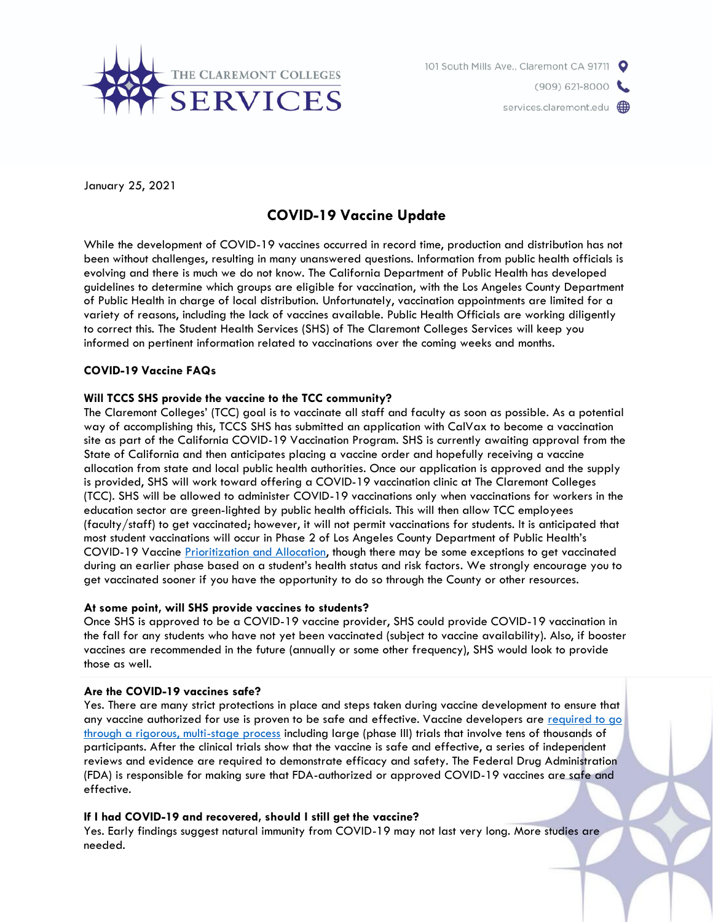



January 25, 2021

# **COVID-19 Vaccine Update**

While the development of COVID-19 vaccines occurred in record time, production and distribution has not been without challenges, resulting in many unanswered questions. Information from public health officials is evolving and there is much we do not know. The California Department of Public Health has developed guidelines to determine which groups are eligible for vaccination, with the Los Angeles County Department of Public Health in charge of local distribution. Unfortunately, vaccination appointments are limited for a variety of reasons, including the lack of vaccines available. Public Health Officials are working diligently to correct this. The Student Health Services (SHS) of The Claremont Colleges Services will keep you informed on pertinent information related to vaccinations over the coming weeks and months.

## **COVID-19 Vaccine FAQs**

### **Will TCCS SHS provide the vaccine to the TCC community?**

The Claremont Colleges' (TCC) goal is to vaccinate all staff and faculty as soon as possible. As a potential way of accomplishing this, TCCS SHS has submitted an application with CalVax to become a vaccination site as part of the California COVID-19 Vaccination Program. SHS is currently awaiting approval from the State of California and then anticipates placing a vaccine order and hopefully receiving a vaccine allocation from state and local public health authorities. Once our application is approved and the supply is provided, SHS will work toward offering a COVID-19 vaccination clinic at The Claremont Colleges (TCC). SHS will be allowed to administer COVID-19 vaccinations only when vaccinations for workers in the education sector are green-lighted by public health officials. This will then allow TCC employees (faculty/staff) to get vaccinated; however, it will not permit vaccinations for students. It is anticipated that most student vaccinations will occur in Phase 2 of Los Angeles County Department of Public Health's COVID-19 Vaccine [Prioritization and Allocation,](http://publichealth.lacounty.gov/acd/ncorona2019/vaccine/allocation/) though there may be some exceptions to get vaccinated during an earlier phase based on a student's health status and risk factors. We strongly encourage you to get vaccinated sooner if you have the opportunity to do so through the County or other resources.

#### **At some point, will SHS provide vaccines to students?**

Once SHS is approved to be a COVID-19 vaccine provider, SHS could provide COVID-19 vaccination in the fall for any students who have not yet been vaccinated (subject to vaccine availability). Also, if booster vaccines are recommended in the future (annually or some other frequency), SHS would look to provide those as well.

#### **Are the COVID-19 vaccines safe?**

Yes. There are many strict protections in place and steps taken during vaccine development to ensure that any vaccine authorized for use is proven to be safe and effective. Vaccine developers are required to go [through a rigorous, multi-stage process](https://www.cdc.gov/coronavirus/2019-ncov/vaccines/safety.html) including large (phase III) trials that involve tens of thousands of participants. After the clinical trials show that the vaccine is safe and effective, a series of independent reviews and evidence are required to demonstrate efficacy and safety. The Federal Drug Administration (FDA) is responsible for making sure that FDA-authorized or approved COVID-19 vaccines are safe and effective.

## **If I had COVID-19 and recovered, should I still get the vaccine?**

Yes. Early findings suggest natural immunity from COVID-19 may not last very long. More studies are needed.